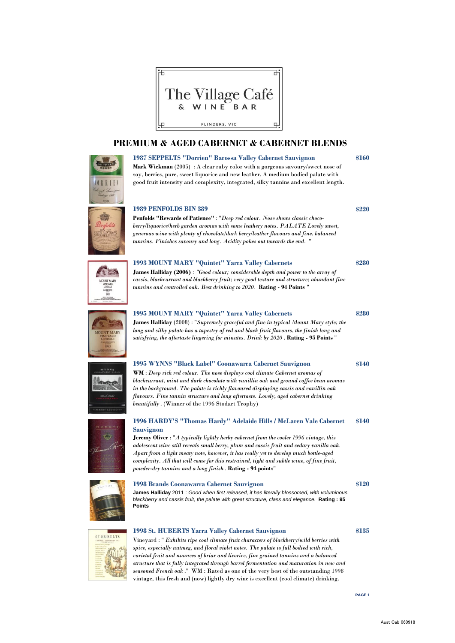



**1987 SEPPELTS "Dorrien" Barossa Valley Cabernet Sauvignon \$160 Mark Wickman** (2005) : A clear ruby color with a gorgeous savoury/sweet nose of soy, berries, pure, sweet liquorice and new leather. A medium bodied palate with good fruit intensity and complexity, integrated, silky tannins and excellent length.

#### **1989 PENFOLDS BIN 389**

**Penfolds "Rewards of Patience"** : "*Deep red colour. Nose shows classic chocoberry/liquorice/herb garden aromas with some leathery notes. PALATE Lovely sweet, generous wine with plenty of chocolate/dark berry/leather flavours and fine, balanced tannins. Finishes savoury and long. Acidity pokes out towards the end.* "

#### **1993 MOUNT MARY "Quintet" Yarra Valley Cabernets**

**James Halliday (2006)** *: "Good colour; considerable depth and power to the array of cassis, blackcurrant and blackberry fruit; very good texture and structure; abundant fine tannins and controlled oak. Best drinking to 2020.* **Rating - 94 Points** *"*

#### **1995 MOUNT MARY "Quintet" Yarra Valley Cabernets**

**James Halliday** (2008) : "*Supremely graceful and fine in typical Mount Mary style; the long and silky palate has a tapestry of red and black fruit flavours, the finish long and satisfying, the aftertaste lingering for minutes. Drink by 2020* . **Rating - 95 Points** "

#### **1995 WYNNS "Black Label" Coonawarra Cabernet Sauvignon**

**WM** : *Deep rich red colour. The nose displays cool climate Cabernet aromas of blackcurrant, mint and dark chocolate with vanillin oak and ground coffee bean aromas in the background. The palate is richly flavoured displaying cassis and vanillin oak flavours. Fine tannin structure and long aftertaste. Lovely, aged cabernet drinking beautifully* . (Winner of the 1996 Stodart Trophy)



#### **\$140 1996 HARDY'S "Thomas Hardy" Adelaide Hills / McLaren Vale Cabernet Sauvignon**

**Jeremy Oliver** : "*A typically lightly herby cabernet from the cooler 1996 vintage, this adolescent wine still reveals small berry, plum and cassis fruit and cedary vanilla oak. Apart from a light meaty note, however, it has really yet to develop much bottle-aged complexity. All that will come for this restrained, tight and subtle wine, of fine fruit, powder-dry tannins and a long finish* . **Rating - 94 points**"

#### **1998 Brands Coonawarra Cabernet Sauvignon**

**James Halliday** 2011 : *Good when first released, it has literally blossomed, with voluminous blackberry and cassis fruit, the palate with great structure, class and elegance.* **Rating : 95 Points**



#### **1998 St. HUBERTS Yarra Valley Cabernet Sauvignon**

Vineyard : " *Exhibits ripe cool climate fruit characters of blackberry/wild berries with spice, especially nutmeg, and floral violet notes. The palate is full bodied with rich, varietal fruit and nuances of briar and licorice, fine grained tannins and a balanced structure that is fully integrated through barrel fermentation and maturation in new and seasoned French oak* ." WM : Rated as one of the very best of the outstanding 1998 vintage, this fresh and (now) lightly dry wine is excellent (cool climate) drinking.

**PAGE 1**

**\$120**

**\$135**

**\$220**

**\$280**

**\$280**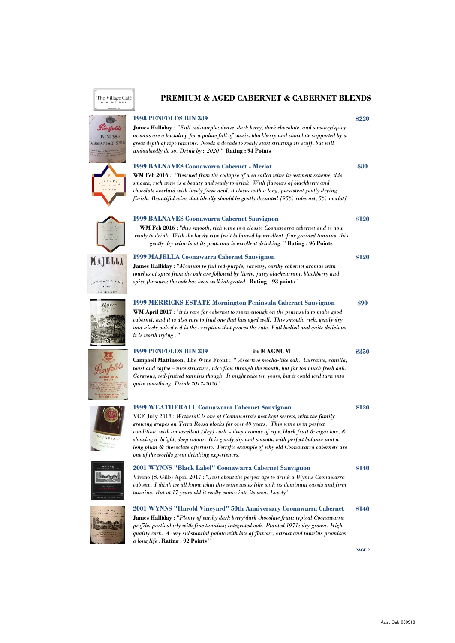

The Village Café

Penfolds **BIN 389 ABERNET SHIP** 

















*quality cork. A very substantial palate with lots of flavour, extract and tannins promises a long life*. **Rating : 92 Points** "

**PAGE 2**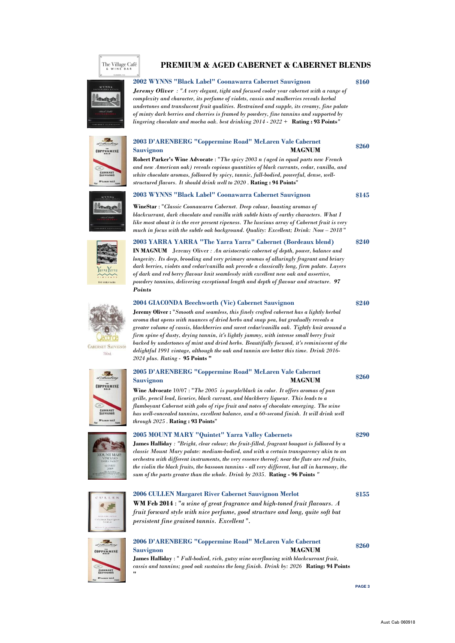# The Village Café

#### **PREMIUM & AGED CABERNET & CABERNET BLENDS**

#### **2002 WYNNS "Black Label" Coonawarra Cabernet Sauvignon**

*Jeremy Oliver : "A very elegant, tight and focused cooler year cabernet with a range of complexity and character, its perfume of violets, cassis and mulberries reveals herbal undertones and translucent fruit qualities. Restrained and supple, its creamy, fine palate of minty dark berries and cherries is framed by powdery, fine tannins and supported by lingering chocolate and mocha oak. best drinking 2014 - 2022 +* **Rating : 93 Points***"*

# Jackson Co **COPPERMINE CABERNET**

#### **2003 D'ARENBERG "Coppermine Road" McLaren Vale Cabernet Sauvignon MAGNUM**

**Robert Parker's Wine Advocate** : "*The spicy 2003 n (aged in equal parts new French and new American oak) reveals copious quantities of black currants, cedar, vanilla, and white chocolate aromas, followed by spicy, tannic, full-bodied, powerful, dense, wellstructured flavors. It should drink well to 2020* . **Rating : 94 Points**"

#### **2003 WYNNS "Black Label" Coonawarra Cabernet Sauvignon**



**GARERNET SAUVIGNON** 750sd

> 53. **COPPERMINE**

**CABERNET** 

**WineStar** : "*Classic Coonawarra Cabernet. Deep colour, boasting aromas of blackcurrant, dark chocolate and vanilla with subtle hints of earthy characters. What I like most about it is the ever present ripeness. The luscious array of Cabernet fruit is very much in focus with the subtle oak background. Quality: Excellent; Drink: Now – 2018* "

#### **2003 YARRA YARRA "The Yarra Yarra" Cabernet (Bordeaux blend)**

**IN MAGNUM** Jeremy Oliver *: An aristocratic cabernet of depth, power, balance and longevity. Its deep, brooding and very primary aromas of alluringly fragrant and briary dark berries, violets and cedar/vanilla oak precede a classically long, firm palate. Layers of dark and red berry flavour knit seamlessly with excellent new oak and assertive, powdery tannins, delivering exceptional length and depth of flavour and structure. 97 Points*

#### **2004 GIACONDA Beechworth (Vic) Cabernet Sauvignon**

**Jeremy Oliver :** "*Smooth and seamless, this finely crafted cabernet has a lightly herbal aroma that opens with nuances of dried herbs and snap pea, but gradually reveals a greater volume of cassis, blackberries and sweet cedar/vanilla oak. Tightly knit around a firm spine of dusty, drying tannin, it's lightly jammy, with intense small berry fruit backed by undertones of mint and dried herbs. Beautifully focused, it's reminiscent of the delightful 1991 vintage, although the oak and tannin are better this time. Drink 2016- 2024 plus. Rating -* **95 Points "**

#### **2005 D'ARENBERG "Coppermine Road" McLaren Vale Cabernet Sauvignon MAGNUM**

**Wine Advocate** 10/07 : "*The 2005 is purple/black in color. It offers aromas of pan grille, pencil lead, licorice, black currant, and blackberry liqueur. This leads to a flamboyant Cabernet with gobs of ripe fruit and notes of chocolate emerging. The wine has well-concealed tannins, excellent balance, and a 60-second finish. It will drink well through 2025* . **Rating : 93 Points**"

#### **2005 MOUNT MARY "Quintet" Yarra Valley Cabernets**

**2006 CULLEN Margaret River Cabernet Sauvignon Merlot**

*persistent fine grained tannis. Excellent* ".

**James Halliday** *: "Bright, clear colour; the fruit-filled, fragrant bouquet is followed by a classic Mount Mary palate: medium-bodied, and with a certain transparency akin to an orchestra with different instruments, the very essence thereof; near the flute are red fruits, the violin the black fruits, the bassoon tannins - all very different, but all in harmony, the sum of the parts greater than the whole. Drink by 2035.* **Rating - 96 Points** *"*



## **2006 D'ARENBERG "Coppermine Road" McLaren Vale Cabernet Sauvignon MAGNUM James Halliday** : " *Full-bodied, rich, gutsy wine overflowing with blackcurrant fruit,*

**WM Feb 2014** : "*a wine of great fragrance and high-toned fruit flavours. A fruit forward style with nice perfume, good structure and long, quite soft but*

*cassis and tannins; good oak sustains the long finish. Drink by: 2026* **Rating: 94 Points "**

**\$260**

**\$145**

**\$160**

**\$240**

**\$240**

**\$260**

**\$290**

**\$155**

**\$260**

**PAGE 3**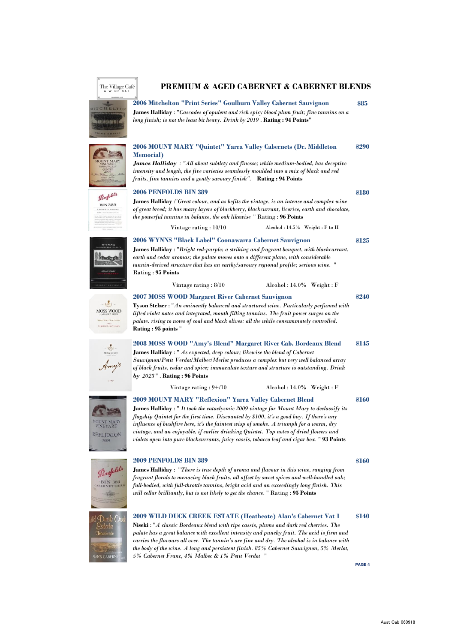## The Village Café

TCHELTO **MARKANHAMA** 

**OUNT**<br>VINE **RÉFLE** 

**N'S CAR** 

#### **PREMIUM & AGED CABERNET & CABERNET BLENDS**

**James Halliday** : "*Cascades of opulent and rich spicy blood plum fruit; fine tannins on a long finish; is not the least bit heavy. Drink by 2019* . **Rating : 94 Points**" **2006 Mitchelton "Print Series" Goulburn Valley Cabernet Sauvignon**

| <b>JUNT MARY</b><br>VINEYARD<br>ARRA VALLEY<br><b>QUINTET</b>               | 2006 MOUNT MARY "Quintet" Yarra Valley Cabernets (Dr. Middleton<br><b>Memorial</b> )<br><b>James Halliday</b> : "All about subtlety and finesse; while medium-bodied, has deceptive<br>intensity and length, the five varieties seamlessly moulded into a mix of black and red<br>fruits, fine tannins and a gently savoury finish". Rating: 94 Points                                                                                                                                                                                    |       |  |  |
|-----------------------------------------------------------------------------|-------------------------------------------------------------------------------------------------------------------------------------------------------------------------------------------------------------------------------------------------------------------------------------------------------------------------------------------------------------------------------------------------------------------------------------------------------------------------------------------------------------------------------------------|-------|--|--|
| Penfolds<br><b>BIN 389</b><br>ANERNET SHIRA                                 | 2006 PENFOLDS BIN 389<br>James Halliday :"Great colour, and as befits the vintage, is an intense and complex wine<br>of great breed; it has many layers of blackberry, blackcurrant, licorice, earth and chocolate,<br>the powerful tannins in balance, the oak likewise " Rating : 96 Points<br>Vintage rating : 10/10<br>Alcohol: 14.5% Weight: F to H                                                                                                                                                                                  | \$180 |  |  |
| WYNNS<br>warna r<br><b>Allegia</b> pa<br><b>ANNS</b><br><b>SENET SAUVIO</b> | 2006 WYNNS "Black Label" Coonawarra Cabernet Sauvignon<br>James Halliday : "Bright red-purple; a striking and fragrant bouquet, with blackcurrant,<br>earth and cedar aromas; the palate moves onto a different plane, with considerable<br>tannin-derived structure that has an earthy/savoury regional profile; serious wine. "<br>Rating: 95 Points<br>$\Lambda$ lcohol: 14.0% Weight: F<br>Vintage rating : 8/10                                                                                                                      | \$125 |  |  |
| MOSS WOOD<br>SE WOON VISEYAAD<br>2007<br>CABERNET SAUVIGNON                 | 2007 MOSS WOOD Margaret River Cabernet Sauvignon<br>\$240<br><b>Tyson Stelzer</b> : "An eminently balanced and structured wine. Particularly perfumed with<br>lifted violet notes and integrated, mouth filling tannins. The fruit power surges on the<br>palate. rising to notes of coal and black olives: all the while consummately controlled.<br>Rating: 95 points"                                                                                                                                                                  |       |  |  |
| 糖<br>MOSS WOOD<br>Amy's                                                     | 2008 MOSS WOOD "Amy's Blend" Margaret River Cab. Bordeaux Blend<br><b>James Halliday</b> : " As expected, deep colour; likewise the blend of Cabernet<br>Sauvignon/Petit Verdot/Malbec/Merlot produces a complex but very well balanced array<br>of black fruits, cedar and spice; immaculate texture and structure is outstanding. Drink<br>by $2023$ ". Rating: 96 Points                                                                                                                                                               |       |  |  |
|                                                                             | Vintage rating $: 9 + / 10$<br>$\text{Alcohol}: 14.0\%$ Weight : F                                                                                                                                                                                                                                                                                                                                                                                                                                                                        |       |  |  |
| UNT MAR'<br><b>INEYARD</b><br>EFLEXION<br>2009                              | <b>2009 MOUNT MARY "Reflexion" Yarra Valley Cabernet Blend</b><br>James Halliday : " It took the cataclysmic 2009 vintage for Mount Mary to declassify its<br>flagship Quintet for the first time. Discounted by \$100, it's a good buy. If there's any<br>influence of bushfire here, it's the faintest wisp of smoke. A triumph for a warm, dry<br>vintage, and an enjoyable, if earlier drinking Quintet. Top notes of dried flowers and<br>violets open into pure blackcurrants, juicy cassis, tobacco leaf and cigar box. "93 Points |       |  |  |
| Penfolds<br><b>BIN 389</b><br><b>KNET 2th</b><br>VISTAND 2001               | 2009 PENFOLDS BIN 389<br><b>James Halliday</b> : "There is true depth of aroma and flavour in this wine, ranging from<br>fragrant florals to menacing black fruits, all offset by sweet spices and well-handled oak;<br>full-bodied, with full-throttle tannins, bright acid and an exceedingly long finish. This<br>will cellar brilliantly, but is not likely to get the chance. " Rating : 95 Points                                                                                                                                   |       |  |  |
| Duck Creek<br>state<br>Heathcote                                            | 2009 WILD DUCK CREEK ESTATE (Heathcote) Alan's Cabernet Vat 1<br>Niseki : "A classic Bordeaux blend with ripe cassis, plums and dark red cherries. The<br>palate has a great balance with excellent intensity and punchy fruit. The acid is firm and<br>carries the flavours all over. The tannin's are fine and dry. The alcohol is in balance with                                                                                                                                                                                      | \$140 |  |  |

*the body of the wine. A long and persistent finish. 85% Cabernet Sauvignon, 5% Merlot,*

*5% Cabernet Franc, 4% Malbec & 1% Petit Verdot* "

**PAGE 4**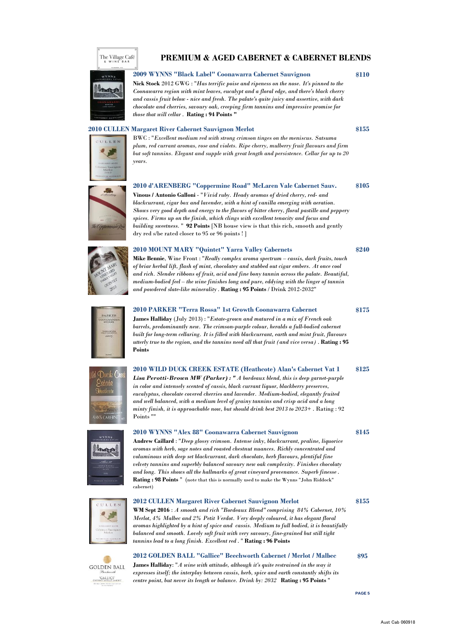



**2009 WYNNS "Black Label" Coonawarra Cabernet Sauvignon**

**Nick Stock** 2012 GWG : "*Has terrific poise and ripeness on the nose. It's pinned to the Coonawarra region with mint leaves, eucalypt and a floral edge, and there's black cherry and cassis fruit below - nice and fresh. The palate's quite juicy and assertive, with dark chocolate and cherries, savoury oak, creeping firm tannins and impressive promise for those that will cellar* . **Rating : 94 Points "**

#### **2010 CULLEN Margaret River Cabernet Sauvignon Merlot**



BWC : "*Excellent medium red with strong crimson tinges on the meniscus. Satsuma plum, red currant aromas, rose and violets. Ripe cherry, mulberry fruit flavours and firm but soft tannins. Elegant and supple with great length and persistence. Cellar for up to 20 years.*

#### **\$105 2010 d'ARENBERG "Coppermine Road" McLaren Vale Cabernet Sauv.**

**Vinous / Antonio Galloni** - "*Vivid ruby. Heady aromas of dried cherry, red- and blackcurrant, cigar box and lavender, with a hint of vanilla emerging with aeration. Shows very good depth and energy to the flavors of bitter cherry, floral pastille and peppery spices. Firms up on the finish, which clings with excellent tenacity and focus and building sweetness.* " **92 Points** [NB house view is that this rich, smooth and gently dry red s/be rated closer to 95 or 96 points ! ]



#### **2010 MOUNT MARY "Quintet" Yarra Valley Cabernets**

**Mike Bennie**, Wine Front : "*Really complex aroma spectrum – cassis, dark fruits, touch of briar herbal lift, flash of mint, chocolatey and stubbed out cigar embers. At once cool and rich. Slender ribbons of fruit, acid and fine bony tannin across the palate. Beautiful, medium-bodied feel – the wine finishes long and pure, eddying with the linger of tannin and powdered slate-like minerality* . **Rating : 95 Points** / Drink 2012-2032"

### **2010 PARKER "Terra Rossa" 1st Growth Coonawarra Cabernet**

**James Halliday** (July 2013) : "*Estate-grown and matured in a mix of French oak barrels, predominantly new. The crimson-purple colour, heralds a full-bodied cabernet built for long-term cellaring. It is filled with blackcurrant, earth and mint fruit, flavours utterly true to the region, and the tannins need all that fruit (and vice versa)* . **Rating : 95 Points**



ULLEN

**GOLDEN BALL** GALLICE'

#### **\$125 2010 WILD DUCK CREEK ESTATE (Heathcote) Alan's Cabernet Vat 1**

*Lisa Perotti-Brown MW (Parker) : " A bordeaux blend, this is deep garnet-purple in color and intensely scented of cassis, black currant liquor, blackberry preserves, eucalyptus, chocolate covered cherries and lavender. Medium-bodied, elegantly fruited and well balanced, with a medium level of grainy tannins and crisp acid and a long minty finish, it is approachable now, but should drink best 2013 to 2023+* . Rating : 92 Points<sup>'</sup>

#### **2010 WYNNS "Alex 88" Coonawarra Cabernet Sauvignon**

**Andrew Caillard** : "*Deep glossy crimson. Intense inky, blackcurrant, praline, liquorice aromas with herb, sage notes and roasted chestnut nuances. Richly concentrated and voluminous with deep set blackcurrant, dark chocolate, herb flavours, plentiful fine velvety tannins and superbly balanced savoury new oak complexity. Finishes chocolaty and long. This shows all the hallmarks of great vineyard provenance. Superb finesse* . **Rating : 98 Points** " (note that this is normally used to make the Wynns "John Riddock" cabernet)

#### **2012 CULLEN Margaret River Cabernet Sauvignon Merlot**

**WM Sept 2016** : *A smooth and rich "Bordeaux Blend" comprising 84% Cabernet, 10% Merlot, 4% Malbec and 2% Petit Verdot. Very deeply coloured, it has elegant floral aromas highlighted by a hint of spice and cassis. Medium to full bodied, it is beautifully balanced and smooth. Lovely soft fruit with very savoury, fine-grained but still tight tannins lead to a long finish. Excellent red* . " **Rating : 96 Points**

#### **2012 GOLDEN BALL "Gallice" Beechworth Cabernet / Merlot / Malbec**

**James Halliday**: "*A wine with attitude, although it's quite restrained in the way it expresses itself; the interplay between cassis, herb, spice and earth constantly shifts its centre point, but never its length or balance. Drink by: 2032* **Rating : 95 Points** "

**PAGE 5**

**\$95**



**\$155**

**\$240**

**\$175**



**\$145**